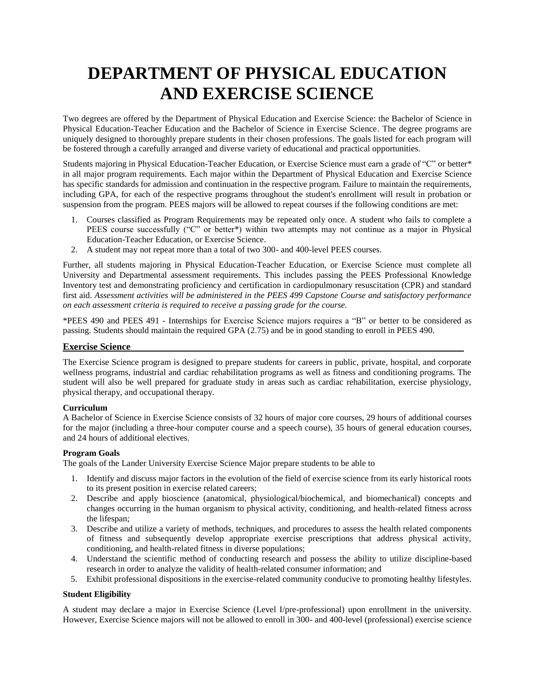# **DEPARTMENT OF PHYSICAL EDUCATION AND EXERCISE SCIENCE**

Two degrees are offered by the Department of Physical Education and Exercise Science: the Bachelor of Science in Physical Education-Teacher Education and the Bachelor of Science in Exercise Science. The degree programs are uniquely designed to thoroughly prepare students in their chosen professions. The goals listed for each program will be fostered through a carefully arranged and diverse variety of educational and practical opportunities.

Students majoring in Physical Education-Teacher Education, or Exercise Science must earn a grade of "C" or better\* in all major program requirements. Each major within the Department of Physical Education and Exercise Science has specific standards for admission and continuation in the respective program. Failure to maintain the requirements, including GPA, for each of the respective programs throughout the student's enrollment will result in probation or suspension from the program. PEES majors will be allowed to repeat courses if the following conditions are met:

- 1. Courses classified as Program Requirements may be repeated only once. A student who fails to complete a PEES course successfully ("C" or better\*) within two attempts may not continue as a major in Physical Education-Teacher Education, or Exercise Science.
- 2. A student may not repeat more than a total of two 300- and 400-level PEES courses.

Further, all students majoring in Physical Education-Teacher Education, or Exercise Science must complete all University and Departmental assessment requirements. This includes passing the PEES Professional Knowledge Inventory test and demonstrating proficiency and certification in cardiopulmonary resuscitation (CPR) and standard first aid. *Assessment activities will be administered in the PEES 499 Capstone Course and satisfactory performance on each assessment criteria is required to receive a passing grade for the course.*

\*PEES 490 and PEES 491 - Internships for Exercise Science majors requires a "B" or better to be considered as passing. Students should maintain the required GPA (2.75) and be in good standing to enroll in PEES 490.

#### **Exercise Science**

The Exercise Science program is designed to prepare students for careers in public, private, hospital, and corporate wellness programs, industrial and cardiac rehabilitation programs as well as fitness and conditioning programs. The student will also be well prepared for graduate study in areas such as cardiac rehabilitation, exercise physiology, physical therapy, and occupational therapy.

#### **Curriculum**

A Bachelor of Science in Exercise Science consists of 32 hours of major core courses, 29 hours of additional courses for the major (including a three-hour computer course and a speech course), 35 hours of general education courses, and 24 hours of additional electives.

#### **Program Goals**

The goals of the Lander University Exercise Science Major prepare students to be able to

- 1. Identify and discuss major factors in the evolution of the field of exercise science from its early historical roots to its present position in exercise related careers;
- 2. Describe and apply bioscience (anatomical, physiological/biochemical, and biomechanical) concepts and changes occurring in the human organism to physical activity, conditioning, and health-related fitness across the lifespan;
- 3. Describe and utilize a variety of methods, techniques, and procedures to assess the health related components of fitness and subsequently develop appropriate exercise prescriptions that address physical activity, conditioning, and health-related fitness in diverse populations;
- 4. Understand the scientific method of conducting research and possess the ability to utilize discipline-based research in order to analyze the validity of health-related consumer information; and
- 5. Exhibit professional dispositions in the exercise-related community conducive to promoting healthy lifestyles.

#### **Student Eligibility**

A student may declare a major in Exercise Science (Level I/pre-professional) upon enrollment in the university. However, Exercise Science majors will not be allowed to enroll in 300- and 400-level (professional) exercise science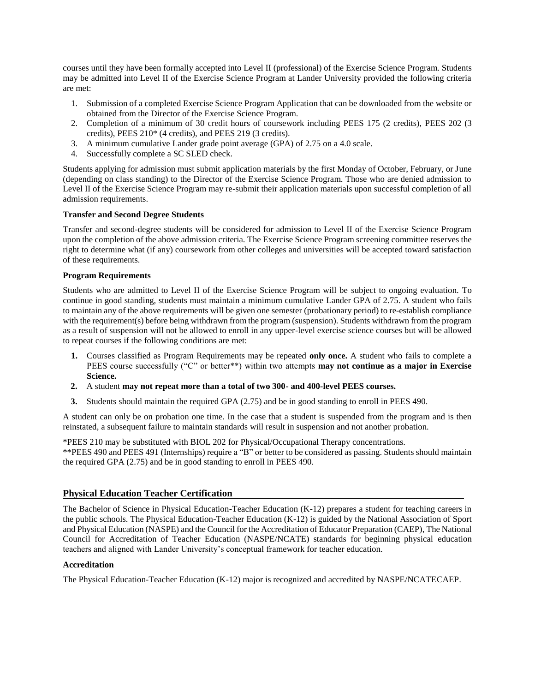courses until they have been formally accepted into Level II (professional) of the Exercise Science Program. Students may be admitted into Level II of the Exercise Science Program at Lander University provided the following criteria are met:

- 1. Submission of a completed Exercise Science Program Application that can be downloaded from the website or obtained from the Director of the Exercise Science Program.
- 2. Completion of a minimum of 30 credit hours of coursework including PEES 175 (2 credits), PEES 202 (3 credits), PEES 210\* (4 credits), and PEES 219 (3 credits).
- 3. A minimum cumulative Lander grade point average (GPA) of 2.75 on a 4.0 scale.
- 4. Successfully complete a SC SLED check.

Students applying for admission must submit application materials by the first Monday of October, February, or June (depending on class standing) to the Director of the Exercise Science Program. Those who are denied admission to Level II of the Exercise Science Program may re-submit their application materials upon successful completion of all admission requirements.

#### **Transfer and Second Degree Students**

Transfer and second-degree students will be considered for admission to Level II of the Exercise Science Program upon the completion of the above admission criteria. The Exercise Science Program screening committee reserves the right to determine what (if any) coursework from other colleges and universities will be accepted toward satisfaction of these requirements.

#### **Program Requirements**

Students who are admitted to Level II of the Exercise Science Program will be subject to ongoing evaluation. To continue in good standing, students must maintain a minimum cumulative Lander GPA of 2.75. A student who fails to maintain any of the above requirements will be given one semester (probationary period) to re-establish compliance with the requirement(s) before being withdrawn from the program (suspension). Students withdrawn from the program as a result of suspension will not be allowed to enroll in any upper-level exercise science courses but will be allowed to repeat courses if the following conditions are met:

- **1.** Courses classified as Program Requirements may be repeated **only once.** A student who fails to complete a PEES course successfully ("C" or better\*\*) within two attempts **may not continue as a major in Exercise Science.**
- **2.** A student **may not repeat more than a total of two 300- and 400-level PEES courses.**
- **3.** Students should maintain the required GPA (2.75) and be in good standing to enroll in PEES 490.

A student can only be on probation one time. In the case that a student is suspended from the program and is then reinstated, a subsequent failure to maintain standards will result in suspension and not another probation.

\*PEES 210 may be substituted with BIOL 202 for Physical/Occupational Therapy concentrations. \*\*PEES 490 and PEES 491 (Internships) require a "B" or better to be considered as passing. Students should maintain the required GPA (2.75) and be in good standing to enroll in PEES 490.

# **Physical Education Teacher Certification**

The Bachelor of Science in Physical Education-Teacher Education (K-12) prepares a student for teaching careers in the public schools. The Physical Education-Teacher Education (K-12) is guided by the National Association of Sport and Physical Education (NASPE) and the Council for the Accreditation of Educator Preparation (CAEP), The National Council for Accreditation of Teacher Education (NASPE/NCATE) standards for beginning physical education teachers and aligned with Lander University's conceptual framework for teacher education.

#### **Accreditation**

The Physical Education-Teacher Education (K-12) major is recognized and accredited by NASPE/NCATECAEP.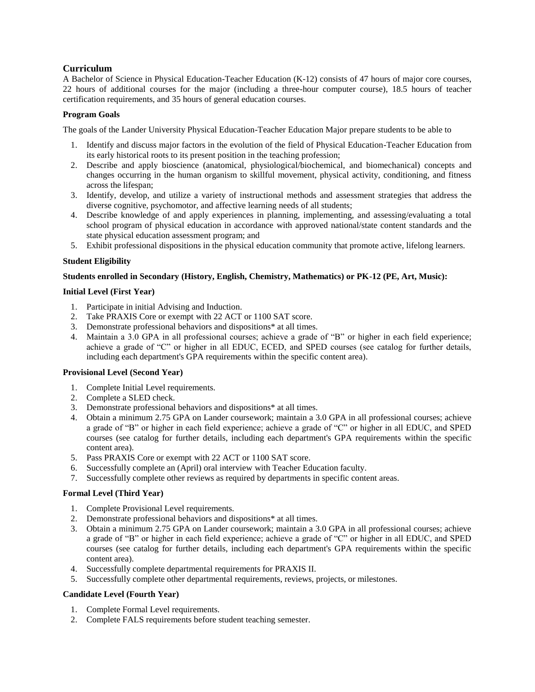# **Curriculum**

A Bachelor of Science in Physical Education-Teacher Education (K-12) consists of 47 hours of major core courses, 22 hours of additional courses for the major (including a three-hour computer course), 18.5 hours of teacher certification requirements, and 35 hours of general education courses.

#### **Program Goals**

The goals of the Lander University Physical Education-Teacher Education Major prepare students to be able to

- 1. Identify and discuss major factors in the evolution of the field of Physical Education-Teacher Education from its early historical roots to its present position in the teaching profession;
- 2. Describe and apply bioscience (anatomical, physiological/biochemical, and biomechanical) concepts and changes occurring in the human organism to skillful movement, physical activity, conditioning, and fitness across the lifespan;
- 3. Identify, develop, and utilize a variety of instructional methods and assessment strategies that address the diverse cognitive, psychomotor, and affective learning needs of all students;
- 4. Describe knowledge of and apply experiences in planning, implementing, and assessing/evaluating a total school program of physical education in accordance with approved national/state content standards and the state physical education assessment program; and
- 5. Exhibit professional dispositions in the physical education community that promote active, lifelong learners.

#### **Student Eligibility**

#### **Students enrolled in Secondary (History, English, Chemistry, Mathematics) or PK-12 (PE, Art, Music):**

#### **Initial Level (First Year)**

- 1. Participate in initial Advising and Induction.
- 2. Take PRAXIS Core or exempt with 22 ACT or 1100 SAT score.
- 3. Demonstrate professional behaviors and dispositions\* at all times.
- 4. Maintain a 3.0 GPA in all professional courses; achieve a grade of "B" or higher in each field experience; achieve a grade of "C" or higher in all EDUC, ECED, and SPED courses (see catalog for further details, including each department's GPA requirements within the specific content area).

# **Provisional Level (Second Year)**

- 1. Complete Initial Level requirements.
- 2. Complete a SLED check.
- 3. Demonstrate professional behaviors and dispositions\* at all times.
- 4. Obtain a minimum 2.75 GPA on Lander coursework; maintain a 3.0 GPA in all professional courses; achieve a grade of "B" or higher in each field experience; achieve a grade of "C" or higher in all EDUC, and SPED courses (see catalog for further details, including each department's GPA requirements within the specific content area).
- 5. Pass PRAXIS Core or exempt with 22 ACT or 1100 SAT score.
- 6. Successfully complete an (April) oral interview with Teacher Education faculty.
- 7. Successfully complete other reviews as required by departments in specific content areas.

#### **Formal Level (Third Year)**

- 1. Complete Provisional Level requirements.
- 2. Demonstrate professional behaviors and dispositions\* at all times.
- 3. Obtain a minimum 2.75 GPA on Lander coursework; maintain a 3.0 GPA in all professional courses; achieve a grade of "B" or higher in each field experience; achieve a grade of "C" or higher in all EDUC, and SPED courses (see catalog for further details, including each department's GPA requirements within the specific content area).
- 4. Successfully complete departmental requirements for PRAXIS II.
- 5. Successfully complete other departmental requirements, reviews, projects, or milestones.

# **Candidate Level (Fourth Year)**

- 1. Complete Formal Level requirements.
- 2. Complete FALS requirements before student teaching semester.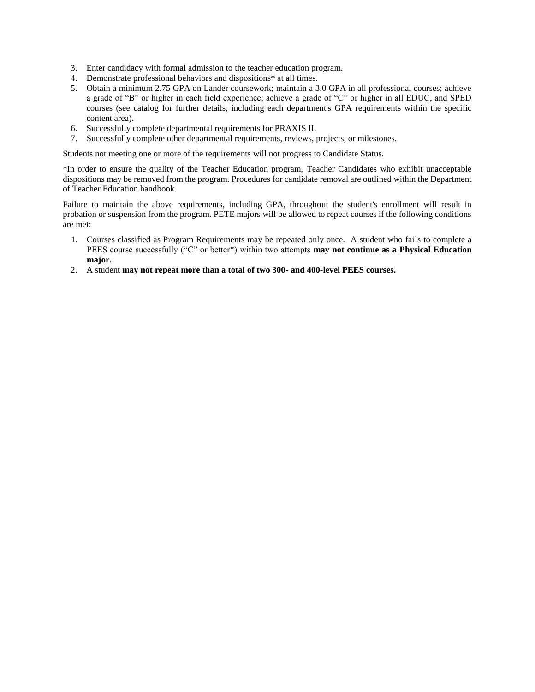- 3. Enter candidacy with formal admission to the teacher education program.
- 4. Demonstrate professional behaviors and dispositions\* at all times.
- 5. Obtain a minimum 2.75 GPA on Lander coursework; maintain a 3.0 GPA in all professional courses; achieve a grade of "B" or higher in each field experience; achieve a grade of "C" or higher in all EDUC, and SPED courses (see catalog for further details, including each department's GPA requirements within the specific content area).
- 6. Successfully complete departmental requirements for PRAXIS II.
- 7. Successfully complete other departmental requirements, reviews, projects, or milestones.

Students not meeting one or more of the requirements will not progress to Candidate Status.

\*In order to ensure the quality of the Teacher Education program, Teacher Candidates who exhibit unacceptable dispositions may be removed from the program. Procedures for candidate removal are outlined within the Department of Teacher Education handbook.

Failure to maintain the above requirements, including GPA, throughout the student's enrollment will result in probation or suspension from the program. PETE majors will be allowed to repeat courses if the following conditions are met:

- 1. Courses classified as Program Requirements may be repeated only once. A student who fails to complete a PEES course successfully ("C" or better\*) within two attempts **may not continue as a Physical Education major.**
- 2. A student **may not repeat more than a total of two 300- and 400-level PEES courses.**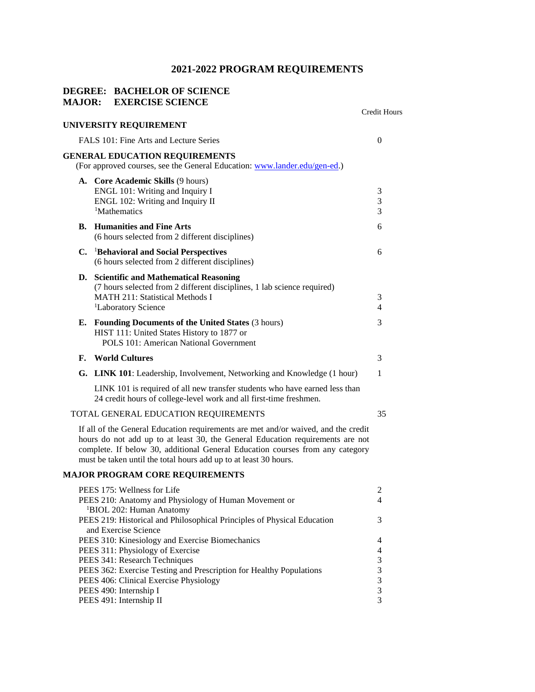# **2021-2022 PROGRAM REQUIREMENTS**

# **DEGREE: BACHELOR OF SCIENCE MAJOR: EXERCISE SCIENCE**

|                                        |                                                                                                                                                                                                                                                                                                                           | Credit Hours   |  |  |
|----------------------------------------|---------------------------------------------------------------------------------------------------------------------------------------------------------------------------------------------------------------------------------------------------------------------------------------------------------------------------|----------------|--|--|
|                                        | UNIVERSITY REQUIREMENT                                                                                                                                                                                                                                                                                                    |                |  |  |
| FALS 101: Fine Arts and Lecture Series |                                                                                                                                                                                                                                                                                                                           |                |  |  |
|                                        | <b>GENERAL EDUCATION REQUIREMENTS</b><br>(For approved courses, see the General Education: www.lander.edu/gen-ed.)                                                                                                                                                                                                        |                |  |  |
|                                        | A. Core Academic Skills (9 hours)                                                                                                                                                                                                                                                                                         |                |  |  |
|                                        | ENGL 101: Writing and Inquiry I                                                                                                                                                                                                                                                                                           | 3              |  |  |
|                                        | ENGL 102: Writing and Inquiry II<br><sup>1</sup> Mathematics                                                                                                                                                                                                                                                              | 3<br>3         |  |  |
|                                        |                                                                                                                                                                                                                                                                                                                           |                |  |  |
| В.                                     | <b>Humanities and Fine Arts</b><br>(6 hours selected from 2 different disciplines)                                                                                                                                                                                                                                        | 6              |  |  |
|                                        | C. <sup>1</sup> Behavioral and Social Perspectives                                                                                                                                                                                                                                                                        | 6              |  |  |
|                                        | (6 hours selected from 2 different disciplines)                                                                                                                                                                                                                                                                           |                |  |  |
|                                        | D. Scientific and Mathematical Reasoning                                                                                                                                                                                                                                                                                  |                |  |  |
|                                        | (7 hours selected from 2 different disciplines, 1 lab science required)                                                                                                                                                                                                                                                   |                |  |  |
|                                        | MATH 211: Statistical Methods I                                                                                                                                                                                                                                                                                           | 3              |  |  |
|                                        | <sup>1</sup> Laboratory Science                                                                                                                                                                                                                                                                                           | 4              |  |  |
| Е.                                     | Founding Documents of the United States (3 hours)                                                                                                                                                                                                                                                                         | 3              |  |  |
|                                        | HIST 111: United States History to 1877 or                                                                                                                                                                                                                                                                                |                |  |  |
|                                        | POLS 101: American National Government                                                                                                                                                                                                                                                                                    |                |  |  |
| F.                                     | <b>World Cultures</b>                                                                                                                                                                                                                                                                                                     | 3              |  |  |
| G.                                     | <b>LINK 101</b> : Leadership, Involvement, Networking and Knowledge (1 hour)                                                                                                                                                                                                                                              | 1              |  |  |
|                                        | LINK 101 is required of all new transfer students who have earned less than<br>24 credit hours of college-level work and all first-time freshmen.                                                                                                                                                                         |                |  |  |
|                                        | TOTAL GENERAL EDUCATION REQUIREMENTS                                                                                                                                                                                                                                                                                      | 35             |  |  |
|                                        | If all of the General Education requirements are met and/or waived, and the credit<br>hours do not add up to at least 30, the General Education requirements are not<br>complete. If below 30, additional General Education courses from any category<br>must be taken until the total hours add up to at least 30 hours. |                |  |  |
|                                        | <b>MAJOR PROGRAM CORE REQUIREMENTS</b>                                                                                                                                                                                                                                                                                    |                |  |  |
|                                        | PEES 175: Wellness for Life                                                                                                                                                                                                                                                                                               | 2              |  |  |
|                                        | PEES 210: Anatomy and Physiology of Human Movement or<br><sup>1</sup> BIOL 202: Human Anatomy                                                                                                                                                                                                                             | 4              |  |  |
|                                        | PEES 219: Historical and Philosophical Principles of Physical Education<br>and Exercise Science                                                                                                                                                                                                                           | 3              |  |  |
|                                        | PEES 310: Kinesiology and Exercise Biomechanics                                                                                                                                                                                                                                                                           | 4              |  |  |
|                                        | PEES 311: Physiology of Exercise                                                                                                                                                                                                                                                                                          | $\overline{4}$ |  |  |
|                                        | PEES 341: Research Techniques                                                                                                                                                                                                                                                                                             | 3              |  |  |
|                                        | PEES 362: Exercise Testing and Prescription for Healthy Populations                                                                                                                                                                                                                                                       | $\mathfrak 3$  |  |  |
|                                        | PEES 406: Clinical Exercise Physiology                                                                                                                                                                                                                                                                                    | $\mathfrak{Z}$ |  |  |
|                                        | PEES 490: Internship I                                                                                                                                                                                                                                                                                                    | $\mathfrak{Z}$ |  |  |
|                                        | PEES 491: Internship II                                                                                                                                                                                                                                                                                                   | 3              |  |  |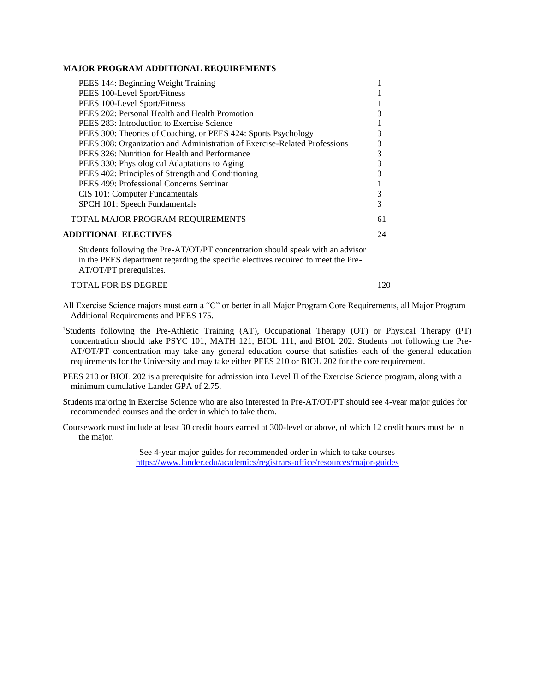#### **MAJOR PROGRAM ADDITIONAL REQUIREMENTS**

| PEES 144: Beginning Weight Training                                                                                                                                                            |    |
|------------------------------------------------------------------------------------------------------------------------------------------------------------------------------------------------|----|
| PEES 100-Level Sport/Fitness                                                                                                                                                                   |    |
| PEES 100-Level Sport/Fitness                                                                                                                                                                   |    |
| PEES 202: Personal Health and Health Promotion                                                                                                                                                 | 3  |
| PEES 283: Introduction to Exercise Science                                                                                                                                                     |    |
| PEES 300: Theories of Coaching, or PEES 424: Sports Psychology                                                                                                                                 | 3  |
| PEES 308: Organization and Administration of Exercise-Related Professions                                                                                                                      | 3  |
| PEES 326: Nutrition for Health and Performance                                                                                                                                                 | 3  |
| PEES 330: Physiological Adaptations to Aging                                                                                                                                                   | 3  |
| PEES 402: Principles of Strength and Conditioning                                                                                                                                              | 3  |
| PEES 499: Professional Concerns Seminar                                                                                                                                                        |    |
| CIS 101: Computer Fundamentals                                                                                                                                                                 | 3  |
| SPCH 101: Speech Fundamentals                                                                                                                                                                  | 3  |
| TOTAL MAJOR PROGRAM REQUIREMENTS                                                                                                                                                               | 61 |
| <b>ADDITIONAL ELECTIVES</b>                                                                                                                                                                    | 24 |
| Students following the Pre-AT/OT/PT concentration should speak with an advisor<br>in the PEES department regarding the specific electives required to meet the Pre-<br>AT/OT/PT prerequisites. |    |

TOTAL FOR BS DEGREE 120

- All Exercise Science majors must earn a "C" or better in all Major Program Core Requirements, all Major Program Additional Requirements and PEES 175.
- <sup>1</sup>Students following the Pre-Athletic Training (AT), Occupational Therapy (OT) or Physical Therapy (PT) concentration should take PSYC 101, MATH 121, BIOL 111, and BIOL 202. Students not following the Pre-AT/OT/PT concentration may take any general education course that satisfies each of the general education requirements for the University and may take either PEES 210 or BIOL 202 for the core requirement.
- PEES 210 or BIOL 202 is a prerequisite for admission into Level II of the Exercise Science program, along with a minimum cumulative Lander GPA of 2.75.
- Students majoring in Exercise Science who are also interested in Pre-AT/OT/PT should see 4-year major guides for recommended courses and the order in which to take them.
- Coursework must include at least 30 credit hours earned at 300-level or above, of which 12 credit hours must be in the major.

See 4-year major guides for recommended order in which to take courses <https://www.lander.edu/academics/registrars-office/resources/major-guides>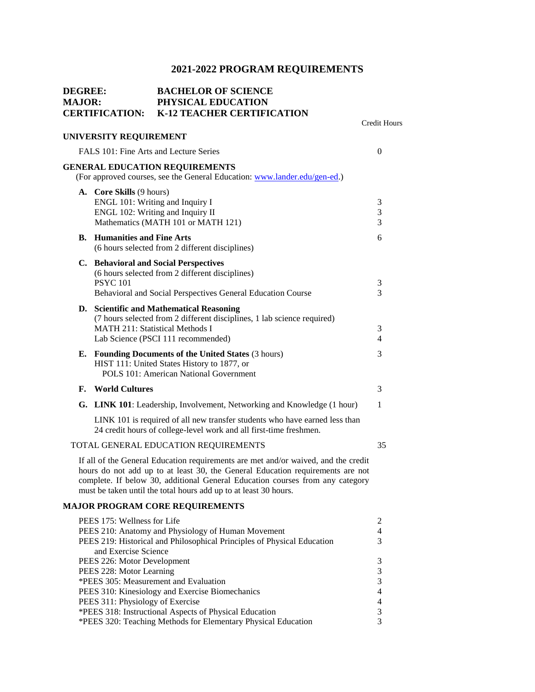# **2021-2022 PROGRAM REQUIREMENTS**

| <b>DEGREE:</b><br><b>MAJOR:</b> |                                                                                 | <b>BACHELOR OF SCIENCE</b><br>PHYSICAL EDUCATION<br><b>CERTIFICATION: K-12 TEACHER CERTIFICATION</b>                                                                                                                                                                                                                      |                     |  |  |  |
|---------------------------------|---------------------------------------------------------------------------------|---------------------------------------------------------------------------------------------------------------------------------------------------------------------------------------------------------------------------------------------------------------------------------------------------------------------------|---------------------|--|--|--|
|                                 | UNIVERSITY REQUIREMENT                                                          |                                                                                                                                                                                                                                                                                                                           | <b>Credit Hours</b> |  |  |  |
|                                 | FALS 101: Fine Arts and Lecture Series<br>$\overline{0}$                        |                                                                                                                                                                                                                                                                                                                           |                     |  |  |  |
|                                 |                                                                                 | <b>GENERAL EDUCATION REQUIREMENTS</b><br>(For approved courses, see the General Education: www.lander.edu/gen-ed.)                                                                                                                                                                                                        |                     |  |  |  |
|                                 | A. Core Skills (9 hours)<br>ENGL 101: Writing and Inquiry I                     | ENGL 102: Writing and Inquiry II<br>Mathematics (MATH 101 or MATH 121)                                                                                                                                                                                                                                                    | 3<br>3<br>3         |  |  |  |
|                                 | <b>B.</b> Humanities and Fine Arts                                              | (6 hours selected from 2 different disciplines)                                                                                                                                                                                                                                                                           | 6                   |  |  |  |
|                                 | <b>PSYC 101</b>                                                                 | C. Behavioral and Social Perspectives<br>(6 hours selected from 2 different disciplines)<br>Behavioral and Social Perspectives General Education Course                                                                                                                                                                   | 3<br>3              |  |  |  |
|                                 | <b>MATH 211: Statistical Methods I</b>                                          | D. Scientific and Mathematical Reasoning<br>(7 hours selected from 2 different disciplines, 1 lab science required)<br>Lab Science (PSCI 111 recommended)                                                                                                                                                                 | 3<br>4              |  |  |  |
|                                 |                                                                                 | <b>E.</b> Founding Documents of the United States (3 hours)<br>HIST 111: United States History to 1877, or<br>POLS 101: American National Government                                                                                                                                                                      | 3                   |  |  |  |
| F.                              | <b>World Cultures</b>                                                           |                                                                                                                                                                                                                                                                                                                           | 3                   |  |  |  |
|                                 |                                                                                 | G. LINK 101: Leadership, Involvement, Networking and Knowledge (1 hour)                                                                                                                                                                                                                                                   | 1                   |  |  |  |
|                                 |                                                                                 | LINK 101 is required of all new transfer students who have earned less than<br>24 credit hours of college-level work and all first-time freshmen.                                                                                                                                                                         |                     |  |  |  |
|                                 |                                                                                 | TOTAL GENERAL EDUCATION REQUIREMENTS                                                                                                                                                                                                                                                                                      | 35                  |  |  |  |
|                                 |                                                                                 | If all of the General Education requirements are met and/or waived, and the credit<br>hours do not add up to at least 30, the General Education requirements are not<br>complete. If below 30, additional General Education courses from any category<br>must be taken until the total hours add up to at least 30 hours. |                     |  |  |  |
|                                 |                                                                                 | <b>MAJOR PROGRAM CORE REQUIREMENTS</b>                                                                                                                                                                                                                                                                                    |                     |  |  |  |
|                                 | PEES 175: Wellness for Life                                                     | PEES 210: Anatomy and Physiology of Human Movement<br>PEES 219: Historical and Philosophical Principles of Physical Education                                                                                                                                                                                             | 2<br>4<br>3         |  |  |  |
|                                 | and Exercise Science<br>PEES 226: Motor Development<br>PEES 228: Motor Learning | *PEES 305: Measurement and Evaluation<br>PEES 310: Kinesiology and Exercise Biomechanics                                                                                                                                                                                                                                  | 3<br>3<br>3<br>4    |  |  |  |
|                                 | PEES 311: Physiology of Exercise                                                | *PEES 318: Instructional Aspects of Physical Education                                                                                                                                                                                                                                                                    | 4<br>3              |  |  |  |
|                                 |                                                                                 | *PEES 320: Teaching Methods for Elementary Physical Education                                                                                                                                                                                                                                                             | 3                   |  |  |  |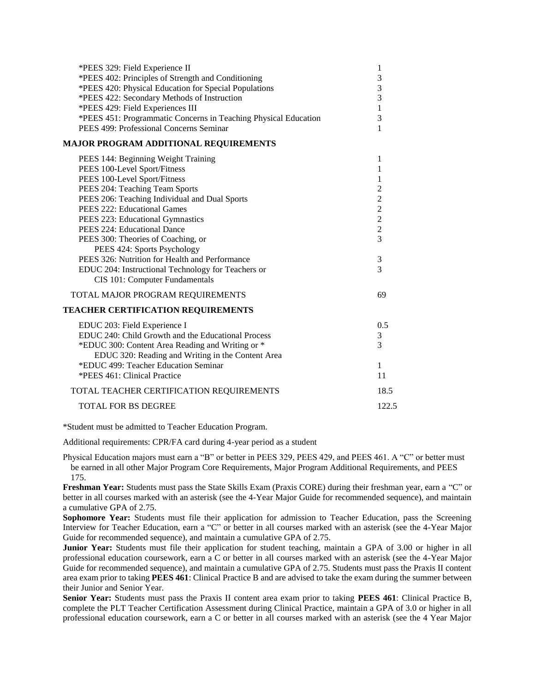| *PEES 329: Field Experience II<br>*PEES 402: Principles of Strength and Conditioning<br>*PEES 420: Physical Education for Special Populations<br>*PEES 422: Secondary Methods of Instruction<br>*PEES 429: Field Experiences III | 1<br>3<br>3<br>3<br>$\mathbf{1}$                   |
|----------------------------------------------------------------------------------------------------------------------------------------------------------------------------------------------------------------------------------|----------------------------------------------------|
| *PEES 451: Programmatic Concerns in Teaching Physical Education<br>PEES 499: Professional Concerns Seminar                                                                                                                       | 3<br>1                                             |
| <b>MAJOR PROGRAM ADDITIONAL REQUIREMENTS</b><br>PEES 144: Beginning Weight Training                                                                                                                                              | 1                                                  |
| PEES 100-Level Sport/Fitness<br>PEES 100-Level Sport/Fitness<br>PEES 204: Teaching Team Sports                                                                                                                                   | 1<br>1<br>$\overline{2}$                           |
| PEES 206: Teaching Individual and Dual Sports<br>PEES 222: Educational Games<br>PEES 223: Educational Gymnastics                                                                                                                 | $\overline{2}$<br>$\overline{2}$<br>$\overline{c}$ |
| PEES 224: Educational Dance<br>PEES 300: Theories of Coaching, or<br>PEES 424: Sports Psychology                                                                                                                                 | $\overline{2}$<br>3                                |
| PEES 326: Nutrition for Health and Performance<br>EDUC 204: Instructional Technology for Teachers or<br>CIS 101: Computer Fundamentals                                                                                           | 3<br>3                                             |
| TOTAL MAJOR PROGRAM REQUIREMENTS                                                                                                                                                                                                 | 69                                                 |
| <b>TEACHER CERTIFICATION REQUIREMENTS</b>                                                                                                                                                                                        |                                                    |
| EDUC 203: Field Experience I<br>EDUC 240: Child Growth and the Educational Process<br>*EDUC 300: Content Area Reading and Writing or *<br>EDUC 320: Reading and Writing in the Content Area                                      | 0.5<br>3<br>3                                      |
| *EDUC 499: Teacher Education Seminar<br>*PEES 461: Clinical Practice                                                                                                                                                             | $\mathbf{1}$<br>11                                 |
| TOTAL TEACHER CERTIFICATION REQUIREMENTS                                                                                                                                                                                         | 18.5                                               |
| <b>TOTAL FOR BS DEGREE</b>                                                                                                                                                                                                       | 122.5                                              |

\*Student must be admitted to Teacher Education Program.

Additional requirements: CPR/FA card during 4-year period as a student

Physical Education majors must earn a "B" or better in PEES 329, PEES 429, and PEES 461. A "C" or better must be earned in all other Major Program Core Requirements, Major Program Additional Requirements, and PEES 175.

**Freshman Year:** Students must pass the State Skills Exam (Praxis CORE) during their freshman year, earn a "C" or better in all courses marked with an asterisk (see the 4-Year Major Guide for recommended sequence), and maintain a cumulative GPA of 2.75.

**Sophomore Year:** Students must file their application for admission to Teacher Education, pass the Screening Interview for Teacher Education, earn a "C" or better in all courses marked with an asterisk (see the 4-Year Major Guide for recommended sequence), and maintain a cumulative GPA of 2.75.

**Junior Year:** Students must file their application for student teaching, maintain a GPA of 3.00 or higher in all professional education coursework, earn a C or better in all courses marked with an asterisk (see the 4-Year Major Guide for recommended sequence), and maintain a cumulative GPA of 2.75. Students must pass the Praxis II content area exam prior to taking **PEES 461**: Clinical Practice B and are advised to take the exam during the summer between their Junior and Senior Year.

**Senior Year:** Students must pass the Praxis II content area exam prior to taking **PEES 461**: Clinical Practice B, complete the PLT Teacher Certification Assessment during Clinical Practice, maintain a GPA of 3.0 or higher in all professional education coursework, earn a C or better in all courses marked with an asterisk (see the 4 Year Major